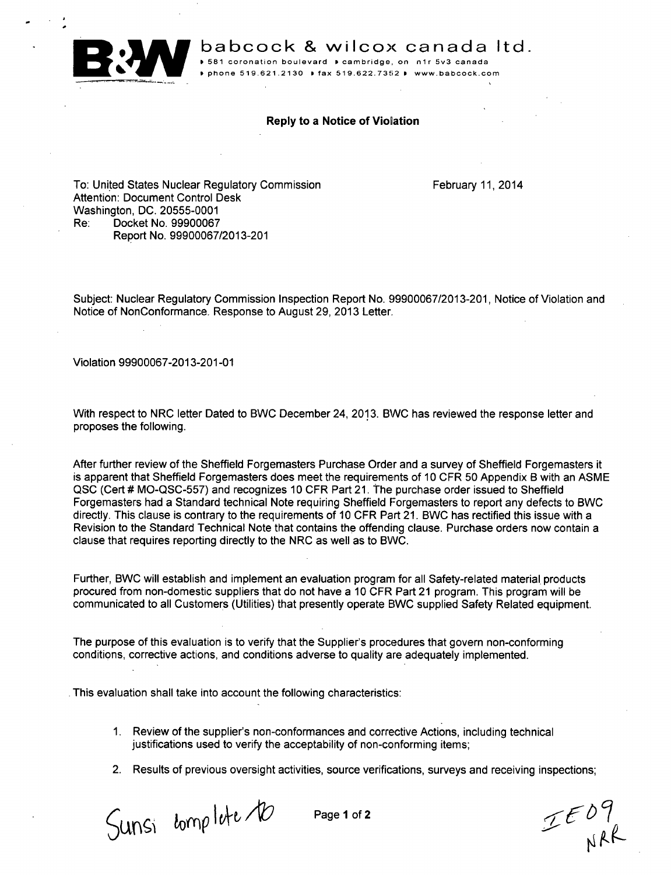

babcock & wilcox canada ltd.

I, **581** coronation boulevard **P** cambridge, on **n1r** 5v3 canada 1 phone **519.621.2130 P** fax **519.622.7352 0** www.babcock.com

## Reply to a Notice of Violation

To: United States Nuclear Regulatory Commission Attention: Document Control Desk Washington, DC. 20555-0001 Re: Docket No. 99900067 Report No. 99900067/2013-201

February 11, 2014

Subject: Nuclear Regulatory Commission Inspection Report No. 99900067/2013-201, Notice of Violation and Notice of NonConformance. Response to August 29, 2013 Letter.

Violation 99900067-2013-201-01

With respect to NRC letter Dated to BWC December 24, 2013. BWC has reviewed the response letter and proposes the following.

After further review of the Sheffield Forgemasters Purchase Order and a survey of Sheffield Forgemasters it is apparent that Sheffield Forgemasters does meet the requirements of 10 CFR 50 Appendix B with an ASME QSC (Cert # MO-QSC-557) and recognizes 10 CFR Part 21. The purchase order issued to Sheffield Forgemasters had a Standard technical Note requiring Sheffield Forgemasters to report any defects to BWC directly. This clause is contrary to the requirements of 10 CFR Part 21. BWC has rectified this issue with a Revision to the Standard Technical Note that contains the offending clause. Purchase orders now contain a clause that requires reporting directly to the NRC as well as to BWC.

Further, BWC will establish and implement an evaluation program for all Safety-related material products procured from non-domestic suppliers that do not have a 10 CFR Part 21 program. This program will be communicated to all Customers (Utilities) that presently operate BWC supplied Safety Related equipment.

The purpose of this evaluation is to verify that the Supplier's procedures that govern non-conforming conditions, corrective actions, and conditions adverse to quality are adequately implemented.

This evaluation shall take into account the following characteristics:

- 1. Review of the supplier's non-conformances and corrective Actions, including technical justifications used to verify the acceptability of non-conforming items:
- 2. Results of previous oversight activities, source verifications, surveys and receiving inspections;

 $S$ unsi bomp lute 10 Page 1 of 2 LE09